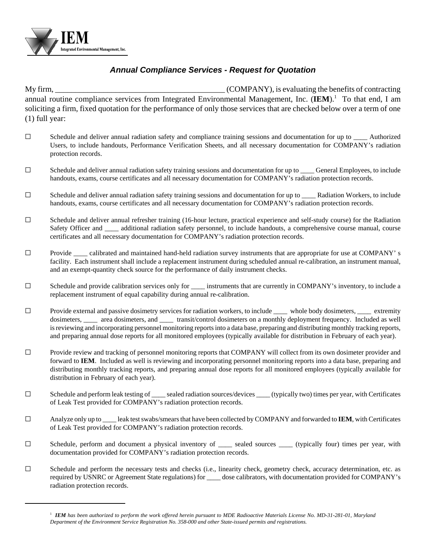

## *Annual Compliance Services - Request for Quotation*

My firm,  $\blacksquare$  (COMPANY), is evaluating the benefits of contracting annual routine compliance services from Integrated Environmental Management, Inc. (IEM).<sup>1</sup> To that end, I am soliciting a firm, fixed quotation for the performance of only those services that are checked below over a term of one (1) full year:

- $\Box$  Schedule and deliver annual radiation safety and compliance training sessions and documentation for up to  $\Box$  Authorized Users, to include handouts, Performance Verification Sheets, and all necessary documentation for COMPANY's radiation protection records.
- $\Box$  Schedule and deliver annual radiation safety training sessions and documentation for up to General Employees, to include handouts, exams, course certificates and all necessary documentation for COMPANY's radiation protection records.
- $\square$  Schedule and deliver annual radiation safety training sessions and documentation for up to  $\_\_\_\_\$  Radiation Workers, to include handouts, exams, course certificates and all necessary documentation for COMPANY's radiation protection records.
- $\Box$  Schedule and deliver annual refresher training (16-hour lecture, practical experience and self-study course) for the Radiation Safety Officer and \_\_\_\_ additional radiation safety personnel, to include handouts, a comprehensive course manual, course certificates and all necessary documentation for COMPANY's radiation protection records.
- $\Box$  Provide calibrated and maintained hand-held radiation survey instruments that are appropriate for use at COMPANY' s facility. Each instrument shall include a replacement instrument during scheduled annual re-calibration, an instrument manual, and an exempt-quantity check source for the performance of daily instrument checks.
- G Schedule and provide calibration services only for \_\_\_\_\_ instruments that are currently in COMPANY's inventory, to include a replacement instrument of equal capability during annual re-calibration.
- $\square$  Provide external and passive dosimetry services for radiation workers, to include  $\_\_\_\_$  whole body dosimeters,  $\_\_\_\_$  extremity dosimeters, \_\_\_\_ area dosimeters, and \_\_\_\_ transit/control dosimeters on a monthly deployment frequency. Included as well is reviewing and incorporating personnel monitoring reports into a data base, preparing and distributing monthly tracking reports, and preparing annual dose reports for all monitored employees (typically available for distribution in February of each year).
- $\square$  Provide review and tracking of personnel monitoring reports that COMPANY will collect from its own dosimeter provider and forward to **IEM**. Included as well is reviewing and incorporating personnel monitoring reports into a data base, preparing and distributing monthly tracking reports, and preparing annual dose reports for all monitored employees (typically available for distribution in February of each year).
- $\Box$  Schedule and perform leak testing of sealed radiation sources/devices (typically two) times per year, with Certificates of Leak Test provided for COMPANY's radiation protection records.
- G Analyze only up to \_\_\_\_ leak test swabs/smears that have been collected by COMPANY and forwarded to **IEM**, with Certificates of Leak Test provided for COMPANY's radiation protection records.
- G Schedule, perform and document a physical inventory of \_\_\_\_ sealed sources \_\_\_\_ (typically four) times per year, with documentation provided for COMPANY's radiation protection records.
- G Schedule and perform the necessary tests and checks (i.e., linearity check, geometry check, accuracy determination, etc. as required by USNRC or Agreement State regulations) for \_\_\_\_ dose calibrators, with documentation provided for COMPANY's radiation protection records.

<sup>&</sup>lt;sup>1</sup> *IEM* has been authorized to perform the work offered herein pursuant to MDE Radioactive Materials License No. MD-31-281-01, Maryland *Department of the Environment Service Registration No. 358-000 and other State-issued permits and registrations.*